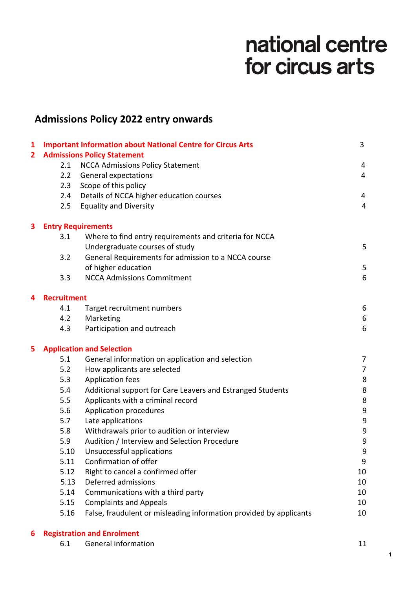# national centre for circus arts

# **Admissions Policy 2022 entry onwards**

| $\mathbf{1}$            |                                    | <b>Important Information about National Centre for Circus Arts</b> | 3              |  |
|-------------------------|------------------------------------|--------------------------------------------------------------------|----------------|--|
| $\overline{\mathbf{2}}$ | <b>Admissions Policy Statement</b> |                                                                    |                |  |
|                         | 2.1                                | <b>NCCA Admissions Policy Statement</b>                            | $\overline{4}$ |  |
|                         | 2.2                                | <b>General expectations</b>                                        | $\overline{4}$ |  |
|                         | 2.3                                | Scope of this policy                                               |                |  |
|                         | 2.4                                | Details of NCCA higher education courses                           | 4              |  |
|                         | 2.5                                | <b>Equality and Diversity</b>                                      | $\overline{4}$ |  |
| 3                       | <b>Entry Requirements</b>          |                                                                    |                |  |
|                         | 3.1                                | Where to find entry requirements and criteria for NCCA             |                |  |
|                         |                                    | Undergraduate courses of study                                     | 5              |  |
|                         | 3.2                                | General Requirements for admission to a NCCA course                |                |  |
|                         |                                    | of higher education                                                | 5              |  |
|                         | 3.3                                | <b>NCCA Admissions Commitment</b>                                  | 6              |  |
| 4                       | <b>Recruitment</b>                 |                                                                    |                |  |
|                         | 4.1                                | Target recruitment numbers                                         | 6              |  |
|                         | 4.2                                | Marketing                                                          | 6              |  |
|                         | 4.3                                | Participation and outreach                                         | 6              |  |
| 5                       | <b>Application and Selection</b>   |                                                                    |                |  |
|                         | 5.1                                | General information on application and selection                   | 7              |  |
|                         | 5.2                                | How applicants are selected                                        | $\overline{7}$ |  |
|                         | 5.3                                | <b>Application fees</b>                                            | 8              |  |
|                         | 5.4                                | Additional support for Care Leavers and Estranged Students         | 8              |  |
|                         | 5.5                                | Applicants with a criminal record                                  | 8              |  |
|                         | 5.6                                | Application procedures                                             | 9              |  |
|                         | 5.7                                | Late applications                                                  | 9              |  |
|                         | 5.8                                | Withdrawals prior to audition or interview                         | 9              |  |
|                         | 5.9                                | Audition / Interview and Selection Procedure                       | 9              |  |
|                         | 5.10                               | Unsuccessful applications                                          | q              |  |
|                         | 5.11                               | Confirmation of offer                                              | 9              |  |
|                         | 5.12                               | Right to cancel a confirmed offer                                  | 10             |  |
|                         | 5.13                               | Deferred admissions                                                | 10             |  |
|                         | 5.14                               | Communications with a third party                                  | 10             |  |
|                         | 5.15                               | <b>Complaints and Appeals</b>                                      | 10             |  |
|                         | 5.16                               | False, fraudulent or misleading information provided by applicants | 10             |  |

# **6 Registration and Enrolment**

6.1 General information 11

1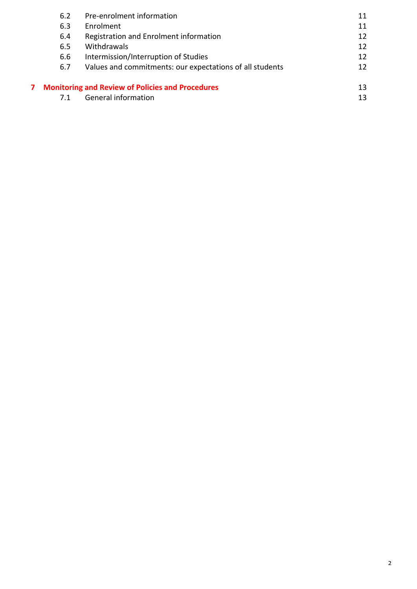| 6.2                                                     | Pre-enrolment information                                | 11 |
|---------------------------------------------------------|----------------------------------------------------------|----|
| 6.3                                                     | Enrolment                                                | 11 |
| 6.4                                                     | Registration and Enrolment information                   | 12 |
| 6.5                                                     | Withdrawals                                              | 12 |
| 6.6                                                     | Intermission/Interruption of Studies                     | 12 |
| 6.7                                                     | Values and commitments: our expectations of all students | 12 |
| <b>Monitoring and Review of Policies and Procedures</b> |                                                          | 13 |
|                                                         | General information                                      | 13 |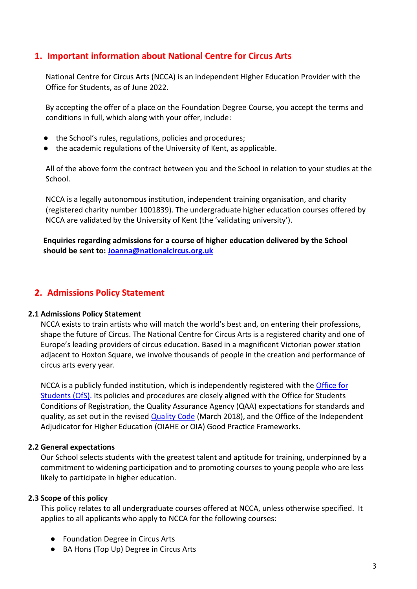# **1. Important information about National Centre for Circus Arts**

National Centre for Circus Arts (NCCA) is an independent Higher Education Provider with the Office for Students, as of June 2022.

By accepting the offer of a place on the Foundation Degree Course, you accept the terms and conditions in full, which along with your offer, include:

- the School's rules, regulations, policies and procedures;
- the academic regulations of the University of Kent, as applicable.

All of the above form the contract between you and the School in relation to your studies at the School.

NCCA is a legally autonomous institution, independent training organisation, and charity (registered charity number 1001839). The undergraduate higher education courses offered by NCCA are validated by the University of Kent (the 'validating university').

**Enquiries regarding admissions for a course of higher education delivered by the School should be sent to: Joanna@nationalcircus.org.uk**

# **2. Admissions Policy Statement**

#### **2.1 Admissions Policy Statement**

NCCA exists to train artists who will match the world's best and, on entering their professions, shape the future of Circus. The National Centre for Circus Arts is a registered charity and one of Europe's leading providers of circus education. Based in a magnificent Victorian power station adjacent to Hoxton Square, we involve thousands of people in the creation and performance of circus arts every year.

NCCA is a publicly funded institution, which is independently registered with the [Office for](https://www.officeforstudents.org.uk/)  [Students](https://www.officeforstudents.org.uk/) (OfS). Its policies and procedures are closely aligned with the Office for Students Conditions of Registration, the Quality Assurance Agency (QAA) expectations for standards and quality, as set out in the revised [Quality Code](https://ukscqa.org.uk/wp-content/uploads/2018/03/Revised-UK-Quality-Code-for-Higher-Education_English.pdf) (March 2018), and the Office of the Independent Adjudicator for Higher Education (OIAHE or OIA) Good Practice Frameworks.

#### **2.2 General expectations**

Our School selects students with the greatest talent and aptitude for training, underpinned by a commitment to widening participation and to promoting courses to young people who are less likely to participate in higher education.

#### **2.3 Scope of this policy**

This policy relates to all undergraduate courses offered at NCCA, unless otherwise specified. It applies to all applicants who apply to NCCA for the following courses:

- Foundation Degree in Circus Arts
- BA Hons (Top Up) Degree in Circus Arts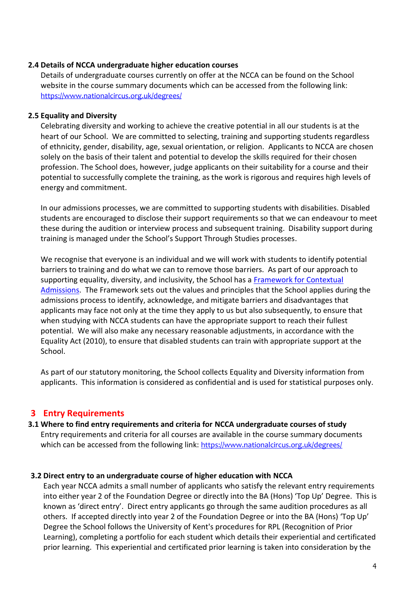#### **2.4 Details of NCCA undergraduate higher education courses**

Details of undergraduate courses currently on offer at the NCCA can be found on the School website in the course summary documents which can be accessed from the following link: <https://www.nationalcircus.org.uk/degrees/>

#### **2.5 Equality and Diversity**

Celebrating diversity and working to achieve the creative potential in all our students is at the heart of our School. We are committed to selecting, training and supporting students regardless of ethnicity, gender, disability, age, sexual orientation, or religion. Applicants to NCCA are chosen solely on the basis of their talent and potential to develop the skills required for their chosen profession. The School does, however, judge applicants on their suitability for a course and their potential to successfully complete the training, as the work is rigorous and requires high levels of energy and commitment.

In our admissions processes, we are committed to supporting students with disabilities. Disabled students are encouraged to disclose their support requirements so that we can endeavour to meet these during the audition or interview process and subsequent training. Disability support during training is managed under the School's Support Through Studies processes.

We recognise that everyone is an individual and we will work with students to identify potential barriers to training and do what we can to remove those barriers. As part of our approach to supporting equality, diversity, and inclusivity, the School has a [Framework for Contextual](https://www.nationalcircus.org.uk/app/uploads/2022/06/ncca-framework-for-contextual-admissions.pdf)  [Admissions.](https://www.nationalcircus.org.uk/app/uploads/2022/06/ncca-framework-for-contextual-admissions.pdf) The Framework sets out the values and principles that the School applies during the admissions process to identify, acknowledge, and mitigate barriers and disadvantages that applicants may face not only at the time they apply to us but also subsequently, to ensure that when studying with NCCA students can have the appropriate support to reach their fullest potential. We will also make any necessary reasonable adjustments, in accordance with the Equality Act (2010), to ensure that disabled students can train with appropriate support at the School.

As part of our statutory monitoring, the School collects Equality and Diversity information from applicants. This information is considered as confidential and is used for statistical purposes only.

#### **3 Entry Requirements**

#### **3.1 Where to find entry requirements and criteria for NCCA undergraduate courses of study** Entry requirements and criteria for all courses are available in the course summary documents which can be accessed from the following link: <https://www.nationalcircus.org.uk/degrees/>

#### **3.2 Direct entry to an undergraduate course of higher education with NCCA**

Each year NCCA admits a small number of applicants who satisfy the relevant entry requirements into either year 2 of the Foundation Degree or directly into the BA (Hons) 'Top Up' Degree. This is known as 'direct entry'. Direct entry applicants go through the same audition procedures as all others. If accepted directly into year 2 of the Foundation Degree or into the BA (Hons) 'Top Up' Degree the School follows the University of Kent's procedures for RPL (Recognition of Prior Learning), completing a portfolio for each student which details their experiential and certificated prior learning. This experiential and certificated prior learning is taken into consideration by the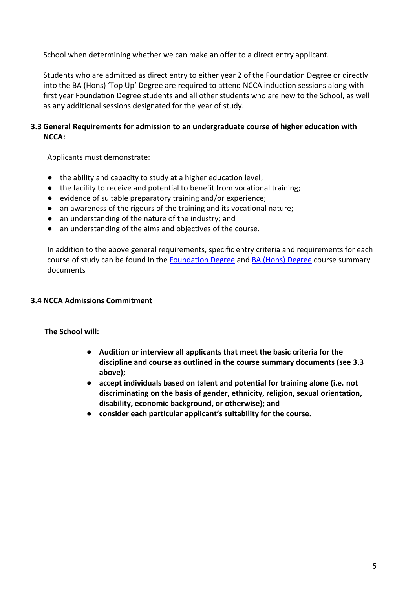School when determining whether we can make an offer to a direct entry applicant.

Students who are admitted as direct entry to either year 2 of the Foundation Degree or directly into the BA (Hons) 'Top Up' Degree are required to attend NCCA induction sessions along with first year Foundation Degree students and all other students who are new to the School, as well as any additional sessions designated for the year of study.

#### **3.3 General Requirements for admission to an undergraduate course of higher education with NCCA:**

Applicants must demonstrate:

- the ability and capacity to study at a higher education level;
- the facility to receive and potential to benefit from vocational training;
- evidence of suitable preparatory training and/or experience:
- an awareness of the rigours of the training and its vocational nature;
- an understanding of the nature of the industry; and
- an understanding of the aims and objectives of the course.

In addition to the above general requirements, specific entry criteria and requirements for each course of study can be found in the [Foundation](https://www.nationalcircus.org.uk/app/uploads/2022/06/fd-summary-course-document-2022-23.pdf) [Degree](https://www.nationalcircus.org.uk/app/uploads/2022/06/ba-summary-course-document-2022-23.pdf) and BA (Hons) Degree course summary documents

#### **3.4 NCCA Admissions Commitment**

**The School will:**

- **Audition or interview all applicants that meet the basic criteria for the discipline and course as outlined in the course summary documents (see 3.3 above);**
- **accept individuals based on talent and potential for training alone (i.e. not discriminating on the basis of gender, ethnicity, religion, sexual orientation, disability, economic background, or otherwise); and**
- **consider each particular applicant's suitability for the course.**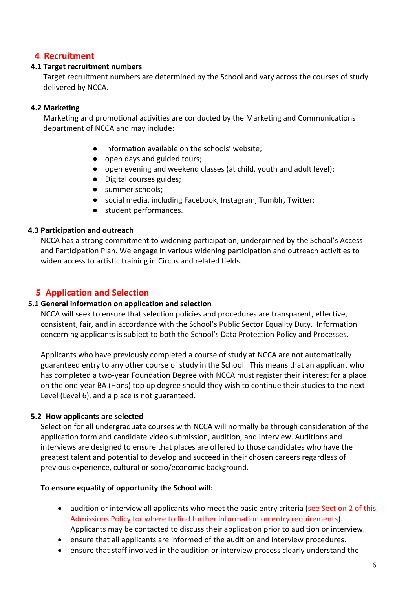# **4 Recruitment**

#### **4.1 Target recruitment numbers**

Target recruitment numbers are determined by the School and vary across the courses of study delivered by NCCA.

#### **4.2 Marketing**

Marketing and promotional activities are conducted by the Marketing and Communications department of NCCA and may include:

- information available on the schools' website;
- open days and guided tours;
- open evening and weekend classes (at child, youth and adult level);
- Digital courses guides;
- summer schools;
- social media, including Facebook, Instagram, Tumblr, Twitter;
- student performances.

#### **4.3 Participation and outreach**

NCCA has a strong commitment to widening participation, underpinned by the School's Access and Participation Plan. We engage in various widening participation and outreach activities to widen access to artistic training in Circus and related fields.

# **5 Application and Selection**

#### **5.1 General information on application and selection**

NCCA will seek to ensure that selection policies and procedures are transparent, effective, consistent, fair, and in accordance with the School's Public Sector Equality Duty. Information concerning applicants is subject to both the School's Data Protection Policy and Processes.

Applicants who have previously completed a course of study at NCCA are not automatically guaranteed entry to any other course of study in the School. This means that an applicant who has completed a two-year Foundation Degree with NCCA must register their interest for a place on the one-year BA (Hons) top up degree should they wish to continue their studies to the next Level (Level 6), and a place is not guaranteed.

#### **5.2 How applicants are selected**

Selection for all undergraduate courses with NCCA will normally be through consideration of the application form and candidate video submission, audition, and interview. Auditions and interviews are designed to ensure that places are offered to those candidates who have the greatest talent and potential to develop and succeed in their chosen careers regardless of previous experience, cultural or socio/economic background.

#### **To ensure equality of opportunity the School will:**

- audition or interview all applicants who meet the basic entry criteria (see Section 2 of this Admissions Policy for where to find further information on entry requirements). Applicants may be contacted to discuss their application prior to audition or interview.
- ensure that all applicants are informed of the audition and interview procedures.
- ensure that staff involved in the audition or interview process clearly understand the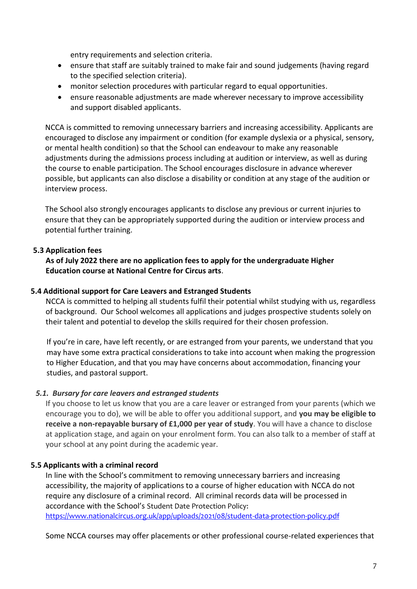entry requirements and selection criteria.

- ensure that staff are suitably trained to make fair and sound judgements (having regard to the specified selection criteria).
- monitor selection procedures with particular regard to equal opportunities.
- ensure reasonable adjustments are made wherever necessary to improve accessibility and support disabled applicants.

NCCA is committed to removing unnecessary barriers and increasing accessibility. Applicants are encouraged to disclose any impairment or condition (for example dyslexia or a physical, sensory, or mental health condition) so that the School can endeavour to make any reasonable adjustments during the admissions process including at audition or interview, as well as during the course to enable participation. The School encourages disclosure in advance wherever possible, but applicants can also disclose a disability or condition at any stage of the audition or interview process.

The School also strongly encourages applicants to disclose any previous or current injuries to ensure that they can be appropriately supported during the audition or interview process and potential further training.

#### **5.3 Application fees**

**As of July 2022 there are no application fees to apply for the undergraduate Higher Education course at National Centre for Circus arts**.

#### **5.4 Additional support for Care Leavers and Estranged Students**

NCCA is committed to helping all students fulfil their potential whilst studying with us, regardless of background. Our School welcomes all applications and judges prospective students solely on their talent and potential to develop the skills required for their chosen profession.

If you're in care, have left recently, or are estranged from your parents, we understand that you may have some extra practical considerations to take into account when making the progression to Higher Education, and that you may have concerns about accommodation, financing your studies, and pastoral support.

#### *5.1. Bursary for care leavers and estranged students*

If you choose to let us know that you are a care leaver or estranged from your parents (which we encourage you to do), we will be able to offer you additional support, and **you may be eligible to receive a non-repayable bursary of £1,000 per year of study**. You will have a chance to disclose at application stage, and again on your enrolment form. You can also talk to a member of staff at your school at any point during the academic year.

#### **5.5 Applicants with a criminal record**

In line with the School's commitment to removing unnecessary barriers and increasing accessibility, the majority of applications to a course of higher education with NCCA do not require any disclosure of a criminal record. All criminal records data will be processed in accordance with the School's Student Date Protection Policy: <https://www.nationalcircus.org.uk/app/uploads/2021/08/student-data-protection-policy.pdf>

Some NCCA courses may offer placements or other professional course-related experiences that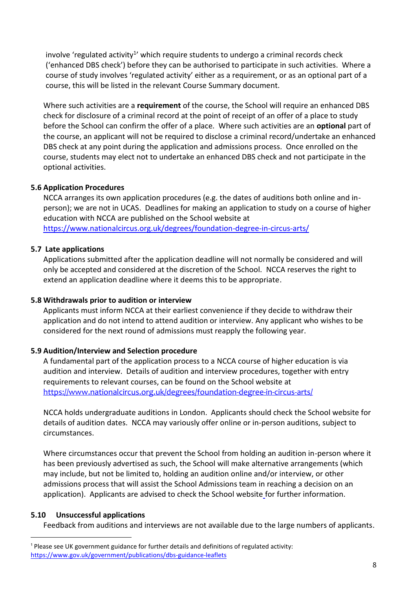involve 'regulated activity<sup>1</sup>' which require students to undergo a criminal records check ('enhanced DBS check') before they can be authorised to participate in such activities. Where a course of study involves 'regulated activity' either as a requirement, or as an optional part of a course, this will be listed in the relevant Course Summary document.

Where such activities are a **requirement** of the course, the School will require an enhanced DBS check for disclosure of a criminal record at the point of receipt of an offer of a place to study before the School can confirm the offer of a place. Where such activities are an **optional** part of the course, an applicant will not be required to disclose a criminal record/undertake an enhanced DBS check at any point during the application and admissions process. Once enrolled on the course, students may elect not to undertake an enhanced DBS check and not participate in the optional activities.

#### **5.6 Application Procedures**

NCCA arranges its own application procedures (e.g. the dates of auditions both online and inperson); we are not in UCAS. Deadlines for making an application to study on a course of higher education with NCCA are published on the School website at <https://www.nationalcircus.org.uk/degrees/foundation-degree-in-circus-arts/>

#### **5.7 Late applications**

Applications submitted after the application deadline will not normally be considered and will only be accepted and considered at the discretion of the School. NCCA reserves the right to extend an application deadline where it deems this to be appropriate.

#### **5.8 Withdrawals prior to audition or interview**

Applicants must inform NCCA at their earliest convenience if they decide to withdraw their application and do not intend to attend audition or interview. Any applicant who wishes to be considered for the next round of admissions must reapply the following year.

#### **5.9 Audition/Interview and Selection procedure**

A fundamental part of the application process to a NCCA course of higher education is via audition and interview. Details of audition and interview procedures, together with entry requirements to relevant courses, can be found on the School website at <https://www.nationalcircus.org.uk/degrees/foundation-degree-in-circus-arts/>

NCCA holds undergraduate auditions in London. Applicants should check the School website for details of audition dates. NCCA may variously offer online or in-person auditions, subject to circumstances.

Where circumstances occur that prevent the School from holding an audition in-person where it has been previously advertised as such, the School will make alternative arrangements (which may include, but not be limited to, holding an audition online and/or interview, or other admissions process that will assist the School Admissions team in reaching a decision on an application). Applicants are advised to check the School website for further information.

#### **5.10 Unsuccessful applications**

 $\overline{a}$ 

Feedback from auditions and interviews are not available due to the large numbers of applicants.

<sup>&</sup>lt;sup>1</sup> Please see UK government guidance for further details and definitions of regulated activity: <https://www.gov.uk/government/publications/dbs-guidance-leaflets>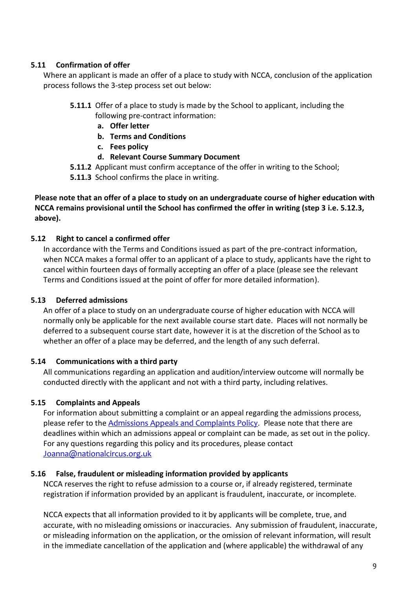#### **5.11 Confirmation of offer**

Where an applicant is made an offer of a place to study with NCCA, conclusion of the application process follows the 3-step process set out below:

- **5.11.1** Offer of a place to study is made by the School to applicant, including the following pre-contract information:
	- **a. Offer letter**
	- **b. Terms and Conditions**
	- **c. Fees policy**
	- **d. Relevant Course Summary Document**
- **5.11.2** Applicant must confirm acceptance of the offer in writing to the School;
- **5.11.3** School confirms the place in writing.

#### **Please note that an offer of a place to study on an undergraduate course of higher education with NCCA remains provisional until the School has confirmed the offer in writing (step 3 i.e. 5.12.3, above).**

#### **5.12 Right to cancel a confirmed offer**

In accordance with the Terms and Conditions issued as part of the pre-contract information, when NCCA makes a formal offer to an applicant of a place to study, applicants have the right to cancel within fourteen days of formally accepting an offer of a place (please see the relevant Terms and Conditions issued at the point of offer for more detailed information).

#### **5.13 Deferred admissions**

An offer of a place to study on an undergraduate course of higher education with NCCA will normally only be applicable for the next available course start date. Places will not normally be deferred to a subsequent course start date, however it is at the discretion of the School as to whether an offer of a place may be deferred, and the length of any such deferral.

#### **5.14 Communications with a third party**

All communications regarding an application and audition/interview outcome will normally be conducted directly with the applicant and not with a third party, including relatives.

#### **5.15 Complaints and Appeals**

For information about submitting a complaint or an appeal regarding the admissions process, please refer to the [Admissions Appeals and Complaints Policy](https://www.nationalcircus.org.uk/app/uploads/2022/06/ncca-admissions-appeals-and-complaints-policy.pdf). Please note that there are deadlines within which an admissions appeal or complaint can be made, as set out in the policy. For any questions regarding this policy and its procedures, please contact [Joanna@nationalcircus.org.uk](mailto:Joanna@nationalcircus.org.uk)

#### **5.16 False, fraudulent or misleading information provided by applicants**

NCCA reserves the right to refuse admission to a course or, if already registered, terminate registration if information provided by an applicant is fraudulent, inaccurate, or incomplete.

NCCA expects that all information provided to it by applicants will be complete, true, and accurate, with no misleading omissions or inaccuracies. Any submission of fraudulent, inaccurate, or misleading information on the application, or the omission of relevant information, will result in the immediate cancellation of the application and (where applicable) the withdrawal of any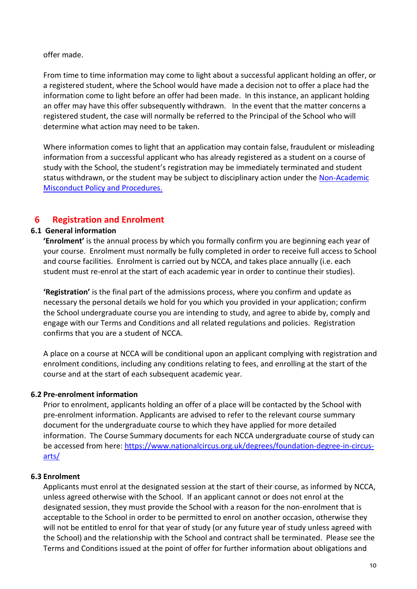offer made.

From time to time information may come to light about a successful applicant holding an offer, or a registered student, where the School would have made a decision not to offer a place had the information come to light before an offer had been made. In this instance, an applicant holding an offer may have this offer subsequently withdrawn. In the event that the matter concerns a registered student, the case will normally be referred to the Principal of the School who will determine what action may need to be taken.

Where information comes to light that an application may contain false, fraudulent or misleading information from a successful applicant who has already registered as a student on a course of study with the School, the student's registration may be immediately terminated and student status withdrawn, or the student may be subject to disciplinary action under the [Non-Academic](https://www.nationalcircus.org.uk/app/uploads/2022/06/ncca-school-non-academic-misconduct-policy-appx.pdf)  [Misconduct Policy and Procedures.](https://www.nationalcircus.org.uk/app/uploads/2022/06/ncca-school-non-academic-misconduct-policy-appx.pdf)

# **6 Registration and Enrolment**

#### **6.1 General information**

**'Enrolment'** is the annual process by which you formally confirm you are beginning each year of your course. Enrolment must normally be fully completed in order to receive full access to School and course facilities. Enrolment is carried out by NCCA, and takes place annually (i.e. each student must re-enrol at the start of each academic year in order to continue their studies).

**'Registration'** is the final part of the admissions process, where you confirm and update as necessary the personal details we hold for you which you provided in your application; confirm the School undergraduate course you are intending to study, and agree to abide by, comply and engage with our Terms and Conditions and all related regulations and policies. Registration confirms that you are a student of NCCA.

A place on a course at NCCA will be conditional upon an applicant complying with registration and enrolment conditions, including any conditions relating to fees, and enrolling at the start of the course and at the start of each subsequent academic year.

#### **6.2 Pre-enrolment information**

Prior to enrolment, applicants holding an offer of a place will be contacted by the School with pre-enrolment information. Applicants are advised to refer to the relevant course summary document for the undergraduate course to which they have applied for more detailed information. The Course Summary documents for each NCCA undergraduate course of study can be accessed from here: [https://www.nationalcircus.org.uk/degrees/foundation-degree-in-circus](https://www.nationalcircus.org.uk/degrees/foundation-degree-in-circus-arts/)[arts/](https://www.nationalcircus.org.uk/degrees/foundation-degree-in-circus-arts/)

#### **6.3 Enrolment**

Applicants must enrol at the designated session at the start of their course, as informed by NCCA, unless agreed otherwise with the School. If an applicant cannot or does not enrol at the designated session, they must provide the School with a reason for the non-enrolment that is acceptable to the School in order to be permitted to enrol on another occasion, otherwise they will not be entitled to enrol for that year of study (or any future year of study unless agreed with the School) and the relationship with the School and contract shall be terminated. Please see the Terms and Conditions issued at the point of offer for further information about obligations and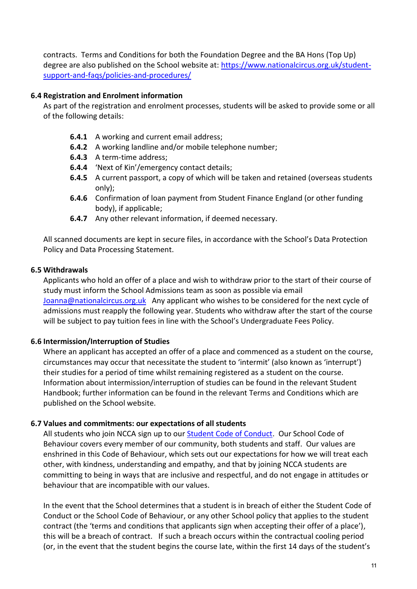contracts. Terms and Conditions for both the Foundation Degree and the BA Hons (Top Up) degree are also published on the School website at: [https://www.nationalcircus.org.uk/student](https://www.nationalcircus.org.uk/student-support-and-faqs/policies-and-procedures/)[support-and-faqs/policies-and-procedures/](https://www.nationalcircus.org.uk/student-support-and-faqs/policies-and-procedures/)

#### **6.4 Registration and Enrolment information**

As part of the registration and enrolment processes, students will be asked to provide some or all of the following details:

- **6.4.1** A working and current email address;
- **6.4.2** A working landline and/or mobile telephone number;
- **6.4.3** A term-time address;
- **6.4.4** 'Next of Kin'/emergency contact details;
- **6.4.5** A current passport, a copy of which will be taken and retained (overseas students only);
- **6.4.6** Confirmation of loan payment from Student Finance England (or other funding body), if applicable;
- **6.4.7** Any other relevant information, if deemed necessary.

All scanned documents are kept in secure files, in accordance with the School's Data Protection Policy and Data Processing Statement.

#### **6.5 Withdrawals**

Applicants who hold an offer of a place and wish to withdraw prior to the start of their course of study must inform the School Admissions team as soon as possible via email [Joanna@nationalcircus.org.uk](mailto:Joanna@nationalcircus.org.uk) Any applicant who wishes to be considered for the next cycle of admissions must reapply the following year. Students who withdraw after the start of the course will be subject to pay tuition fees in line with the School's Undergraduate Fees Policy.

#### **6.6 Intermission/Interruption of Studies**

Where an applicant has accepted an offer of a place and commenced as a student on the course, circumstances may occur that necessitate the student to 'intermit' (also known as 'interrupt') their studies for a period of time whilst remaining registered as a student on the course. Information about intermission/interruption of studies can be found in the relevant Student Handbook; further information can be found in the relevant Terms and Conditions which are published on the School website.

#### **6.7 Values and commitments: our expectations of all students**

All students who join NCCA sign up to our [Student Code of Conduct.](https://www.nationalcircus.org.uk/app/uploads/2021/08/national-centre-higher-education-codes-of-conduct.pdf) Our School Code of Behaviour covers every member of our community, both students and staff. Our values are enshrined in this Code of Behaviour, which sets out our expectations for how we will treat each other, with kindness, understanding and empathy, and that by joining NCCA students are committing to being in ways that are inclusive and respectful, and do not engage in attitudes or behaviour that are incompatible with our values.

In the event that the School determines that a student is in breach of either the Student Code of Conduct or the School Code of Behaviour, or any other School policy that applies to the student contract (the 'terms and conditions that applicants sign when accepting their offer of a place'), this will be a breach of contract. If such a breach occurs within the contractual cooling period (or, in the event that the student begins the course late, within the first 14 days of the student's